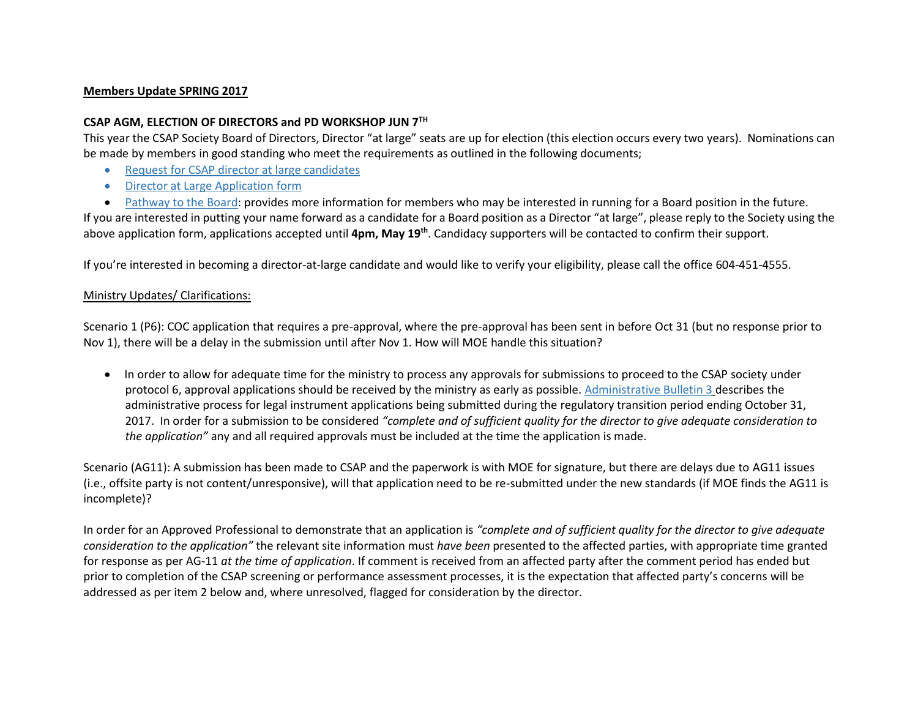#### **Members Update SPRING 2017**

### **CSAP AGM, ELECTION OF DIRECTORS and PD WORKSHOP JUN 7TH**

This year the CSAP Society Board of Directors, Director "at large" seats are up for election (this election occurs every two years). Nominations can be made by members in good standing who meet the requirements as outlined in the following documents;

- [Request for CSAP director at large candidates](http://csapsociety.bc.ca/wp/wp-content/uploads/Request-for-CSAP-Candidate_at-large-Directors-April-24-2017-v3.pdf)
- [Director at Large Application form](http://csapsociety.bc.ca/wp/wp-content/uploads/CSAP-Nomination-Director-at-large-FILLABLE-Form-2017_April-24_7.pdf)
- [Pathway to the Board:](http://csapsociety.bc.ca/wp/wp-content/uploads/CSAP-pathway-to-a-Board-seat-April-24-2016-v2.pdf) provides more information for members who may be interested in running for a Board position in the future.

If you are interested in putting your name forward as a candidate for a Board position as a Director "at large", please reply to the Society using the above application form, applications accepted until 4pm, May 19<sup>th</sup>. Candidacy supporters will be contacted to confirm their support.

If you're interested in becoming a director-at-large candidate and would like to verify your eligibility, please call the office 604-451-4555.

### Ministry Updates/ Clarifications:

Scenario 1 (P6): COC application that requires a pre-approval, where the pre-approval has been sent in before Oct 31 (but no response prior to Nov 1), there will be a delay in the submission until after Nov 1. How will MOE handle this situation?

 In order to allow for adequate time for the ministry to process any approvals for submissions to proceed to the CSAP society under protocol 6, approval applications should be received by the ministry as early as possible. [Administrative Bulletin 3](http://www2.gov.bc.ca/assets/gov/environment/air-land-water/site-remediation/docs/bulletins/admin_bulletin_submission_guidance_stage_10_amendment.pdf) describes the administrative process for legal instrument applications being submitted during the regulatory transition period ending October 31, 2017. In order for a submission to be considered *"complete and of sufficient quality for the director to give adequate consideration to the application"* any and all required approvals must be included at the time the application is made.

Scenario (AG11): A submission has been made to CSAP and the paperwork is with MOE for signature, but there are delays due to AG11 issues (i.e., offsite party is not content/unresponsive), will that application need to be re-submitted under the new standards (if MOE finds the AG11 is incomplete)?

In order for an Approved Professional to demonstrate that an application is *"complete and of sufficient quality for the director to give adequate consideration to the application"* the relevant site information must *have been* presented to the affected parties, with appropriate time granted for response as per AG-11 *at the time of application*. If comment is received from an affected party after the comment period has ended but prior to completion of the CSAP screening or performance assessment processes, it is the expectation that affected party's concerns will be addressed as per item 2 below and, where unresolved, flagged for consideration by the director.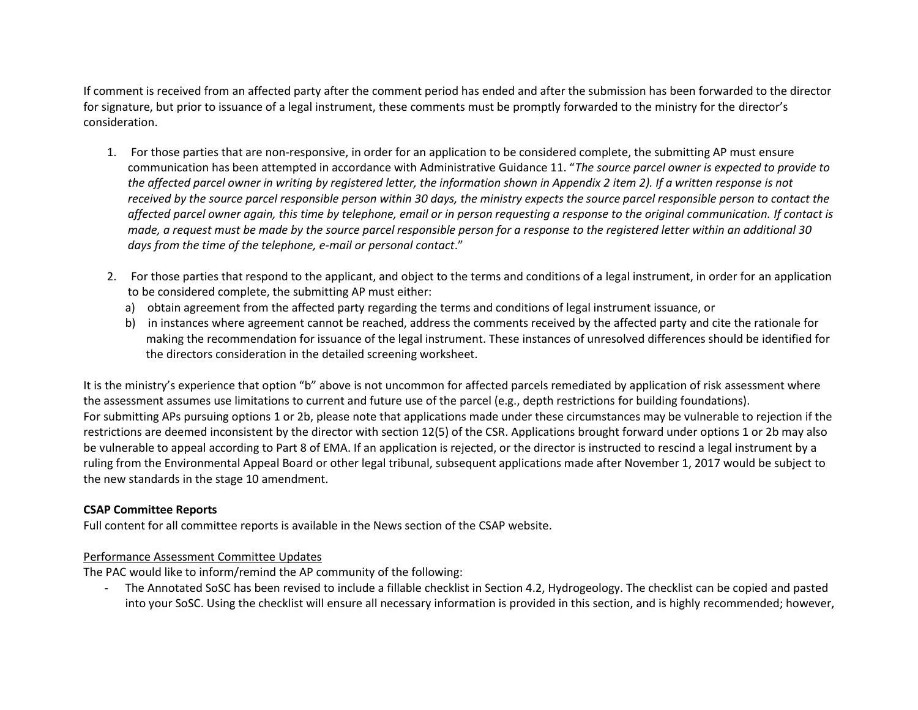If comment is received from an affected party after the comment period has ended and after the submission has been forwarded to the director for signature, but prior to issuance of a legal instrument, these comments must be promptly forwarded to the ministry for the director's consideration.

- 1. For those parties that are non-responsive, in order for an application to be considered complete, the submitting AP must ensure communication has been attempted in accordance with Administrative Guidance 11. "*The source parcel owner is expected to provide to the affected parcel owner in writing by registered letter, the information shown in Appendix 2 item 2). If a written response is not received by the source parcel responsible person within 30 days, the ministry expects the source parcel responsible person to contact the affected parcel owner again, this time by telephone, email or in person requesting a response to the original communication. If contact is made, a request must be made by the source parcel responsible person for a response to the registered letter within an additional 30 days from the time of the telephone, e-mail or personal contact*."
- 2. For those parties that respond to the applicant, and object to the terms and conditions of a legal instrument, in order for an application to be considered complete, the submitting AP must either:
	- a) obtain agreement from the affected party regarding the terms and conditions of legal instrument issuance, or
	- b) in instances where agreement cannot be reached, address the comments received by the affected party and cite the rationale for making the recommendation for issuance of the legal instrument. These instances of unresolved differences should be identified for the directors consideration in the detailed screening worksheet.

It is the ministry's experience that option "b" above is not uncommon for affected parcels remediated by application of risk assessment where the assessment assumes use limitations to current and future use of the parcel (e.g., depth restrictions for building foundations). For submitting APs pursuing options 1 or 2b, please note that applications made under these circumstances may be vulnerable to rejection if the restrictions are deemed inconsistent by the director with section 12(5) of the CSR. Applications brought forward under options 1 or 2b may also be vulnerable to appeal according to Part 8 of EMA. If an application is rejected, or the director is instructed to rescind a legal instrument by a ruling from the Environmental Appeal Board or other legal tribunal, subsequent applications made after November 1, 2017 would be subject to the new standards in the stage 10 amendment.

## **CSAP Committee Reports**

Full content for all committee reports is available in the News section of the CSAP website.

## Performance Assessment Committee Updates

The PAC would like to inform/remind the AP community of the following:

- The Annotated SoSC has been revised to include a fillable checklist in Section 4.2, Hydrogeology. The checklist can be copied and pasted into your SoSC. Using the checklist will ensure all necessary information is provided in this section, and is highly recommended; however,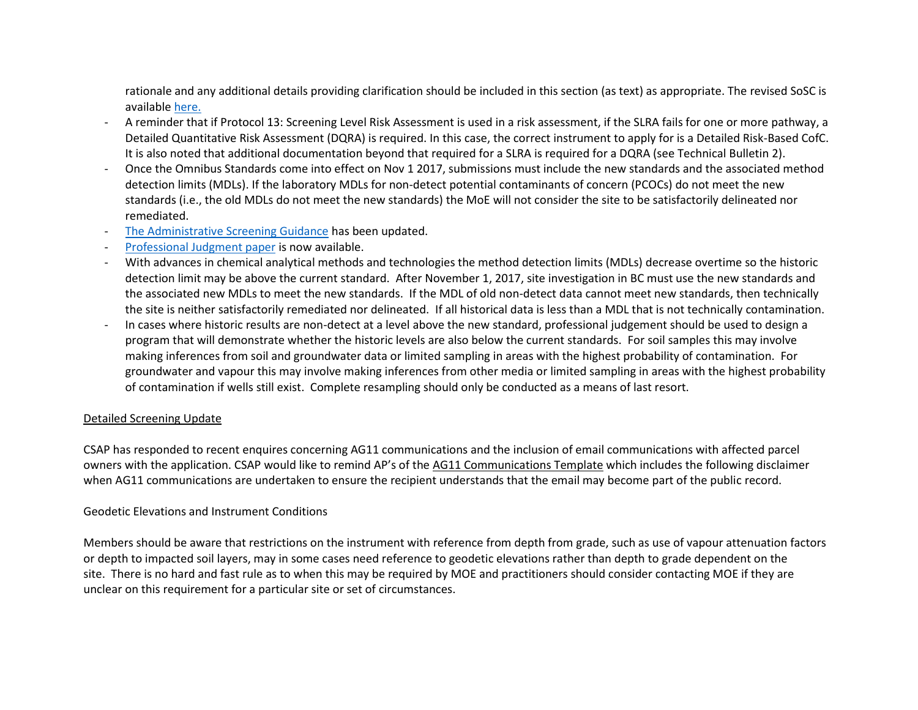rationale and any additional details providing clarification should be included in this section (as text) as appropriate. The revised SoSC is available [here.](http://csapsociety.bc.ca/wp/wp-content/uploads/ATT-2_SummarySiteCondition_Annotated_REV4a_DRAFT.pdf)

- A reminder that if Protocol 13: Screening Level Risk Assessment is used in a risk assessment, if the SLRA fails for one or more pathway, a Detailed Quantitative Risk Assessment (DQRA) is required. In this case, the correct instrument to apply for is a Detailed Risk-Based CofC. It is also noted that additional documentation beyond that required for a SLRA is required for a DQRA (see Technical Bulletin 2).
- Once the Omnibus Standards come into effect on Nov 1 2017, submissions must include the new standards and the associated method detection limits (MDLs). If the laboratory MDLs for non-detect potential contaminants of concern (PCOCs) do not meet the new standards (i.e., the old MDLs do not meet the new standards) the MoE will not consider the site to be satisfactorily delineated nor remediated.
- [The Administrative Screening Guidance](http://csapsociety.bc.ca/wp/wp-content/uploads/CSAP-Admin-and-Detailed-Screening-Guidance-_tsk-May5-CS-comments-1.pdf) has been updated.
- [Professional Judgment paper](http://csapsociety.bc.ca/wp/wp-content/uploads/ATT-3_-CSAP-Professional-Judgement-May2nd.pdf) is now available.
- With advances in chemical analytical methods and technologies the method detection limits (MDLs) decrease overtime so the historic detection limit may be above the current standard. After November 1, 2017, site investigation in BC must use the new standards and the associated new MDLs to meet the new standards. If the MDL of old non-detect data cannot meet new standards, then technically the site is neither satisfactorily remediated nor delineated. If all historical data is less than a MDL that is not technically contamination.
- In cases where historic results are non-detect at a level above the new standard, professional judgement should be used to design a program that will demonstrate whether the historic levels are also below the current standards. For soil samples this may involve making inferences from soil and groundwater data or limited sampling in areas with the highest probability of contamination. For groundwater and vapour this may involve making inferences from other media or limited sampling in areas with the highest probability of contamination if wells still exist. Complete resampling should only be conducted as a means of last resort.

#### Detailed Screening Update

CSAP has responded to recent enquires concerning AG11 communications and the inclusion of email communications with affected parcel owners with the application. CSAP would like to remind AP's of the [AG11 Communications Template](http://csapsociety.bc.ca/wp/wp-content/uploads/CSAP-AG-11-Communications-Template-Version-1-May-30-2016.docx) which includes the following disclaimer when AG11 communications are undertaken to ensure the recipient understands that the email may become part of the public record.

#### Geodetic Elevations and Instrument Conditions

Members should be aware that restrictions on the instrument with reference from depth from grade, such as use of vapour attenuation factors or depth to impacted soil layers, may in some cases need reference to geodetic elevations rather than depth to grade dependent on the site. There is no hard and fast rule as to when this may be required by MOE and practitioners should consider contacting MOE if they are unclear on this requirement for a particular site or set of circumstances.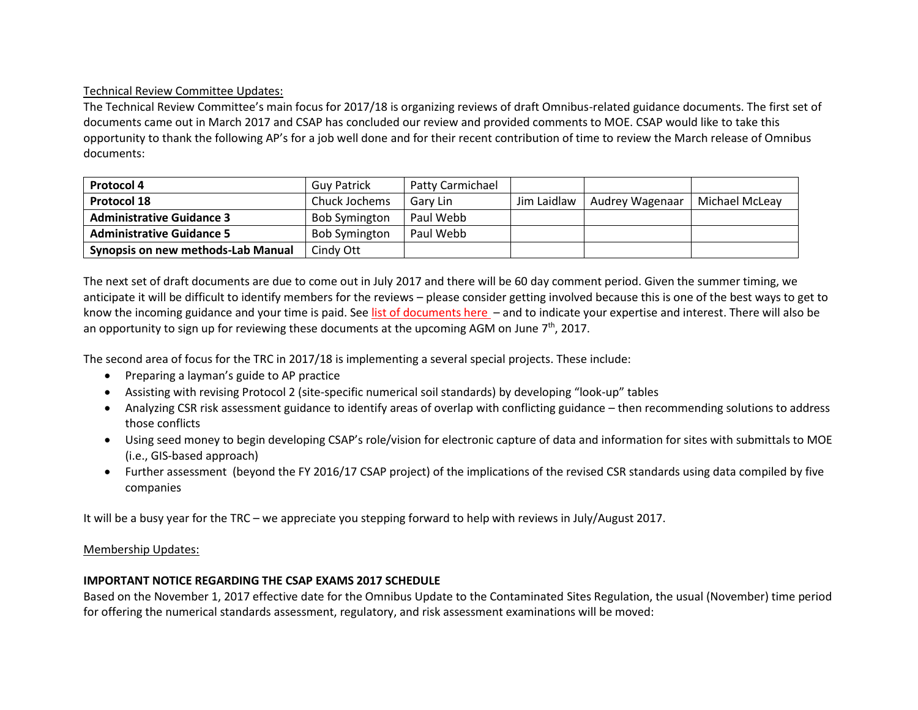# Technical Review Committee Updates:

The Technical Review Committee's main focus for 2017/18 is organizing reviews of draft Omnibus-related guidance documents. The first set of documents came out in March 2017 and CSAP has concluded our review and provided comments to MOE. CSAP would like to take this opportunity to thank the following AP's for a job well done and for their recent contribution of time to review the March release of Omnibus documents:

| <b>Protocol 4</b>                  | <b>Guy Patrick</b>   | Patty Carmichael |             |                 |                |
|------------------------------------|----------------------|------------------|-------------|-----------------|----------------|
| <b>Protocol 18</b>                 | Chuck Jochems        | Gary Lin         | Jim Laidlaw | Audrey Wagenaar | Michael McLeay |
| <b>Administrative Guidance 3</b>   | <b>Bob Symington</b> | Paul Webb        |             |                 |                |
| <b>Administrative Guidance 5</b>   | <b>Bob Symington</b> | Paul Webb        |             |                 |                |
| Synopsis on new methods-Lab Manual | Cindy Ott            |                  |             |                 |                |

The next set of draft documents are due to come out in July 2017 and there will be 60 day comment period. Given the summer timing, we anticipate it will be difficult to identify members for the reviews – please consider getting involved because this is one of the best ways to get to know the incoming guidance and your time is paid. Se[e list of documents here](https://www.surveymonkey.com/r/7S8WQJV) – and to indicate your expertise and interest. There will also be an opportunity to sign up for reviewing these documents at the upcoming AGM on June  $7<sup>th</sup>$ , 2017.

The second area of focus for the TRC in 2017/18 is implementing a several special projects. These include:

- Preparing a layman's guide to AP practice
- Assisting with revising Protocol 2 (site-specific numerical soil standards) by developing "look-up" tables
- Analyzing CSR risk assessment guidance to identify areas of overlap with conflicting guidance then recommending solutions to address those conflicts
- Using seed money to begin developing CSAP's role/vision for electronic capture of data and information for sites with submittals to MOE (i.e., GIS-based approach)
- Further assessment (beyond the FY 2016/17 CSAP project) of the implications of the revised CSR standards using data compiled by five companies

It will be a busy year for the TRC – we appreciate you stepping forward to help with reviews in July/August 2017.

## Membership Updates:

## **IMPORTANT NOTICE REGARDING THE CSAP EXAMS 2017 SCHEDULE**

Based on the November 1, 2017 effective date for the Omnibus Update to the Contaminated Sites Regulation, the usual (November) time period for offering the numerical standards assessment, regulatory, and risk assessment examinations will be moved: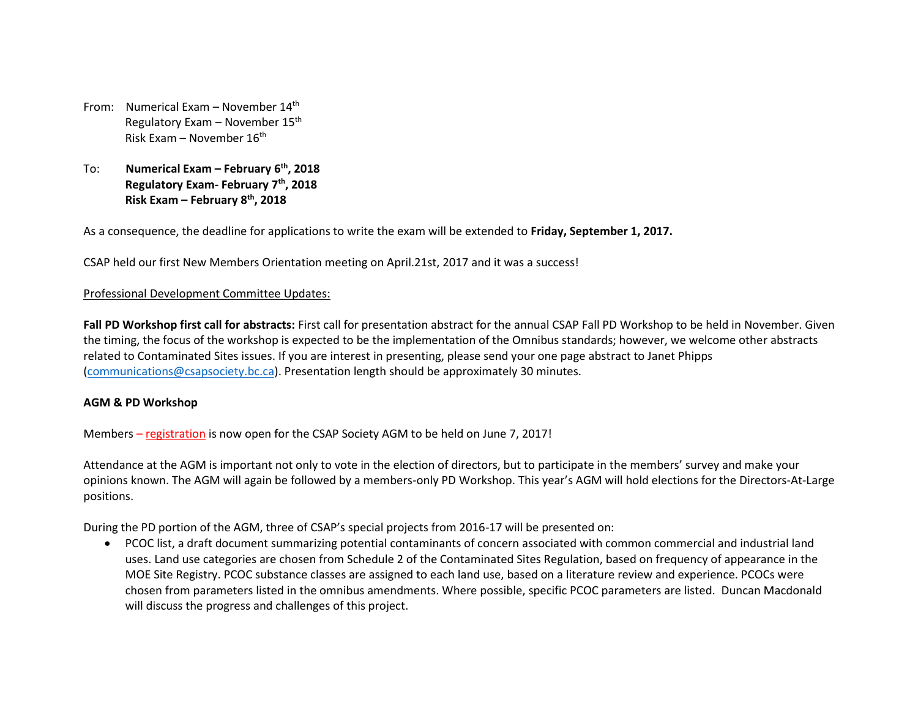- From: Numerical Exam November 14<sup>th</sup> Regulatory Exam – November 15th Risk Exam – November 16<sup>th</sup>
- To: **Numerical Exam – February 6th, 2018 Regulatory Exam- February 7th, 2018 Risk Exam – February 8th, 2018**

As a consequence, the deadline for applications to write the exam will be extended to **Friday, September 1, 2017.**

CSAP held our first New Members Orientation meeting on April.21st, 2017 and it was a success!

#### Professional Development Committee Updates:

**Fall PD Workshop first call for abstracts:** First call for presentation abstract for the annual CSAP Fall PD Workshop to be held in November. Given the timing, the focus of the workshop is expected to be the implementation of the Omnibus standards; however, we welcome other abstracts related to Contaminated Sites issues. If you are interest in presenting, please send your one page abstract to Janet Phipps [\(communications@csapsociety.bc.ca\)](mailto:communications@csapsociety.bc.ca). Presentation length should be approximately 30 minutes.

#### **AGM & PD Workshop**

Members – [registration](https://csapsociety.bc.ca/agm-pd-workshop-registration/) is now open for the CSAP Society AGM to be held on June 7, 2017!

Attendance at the AGM is important not only to vote in the election of directors, but to participate in the members' survey and make your opinions known. The AGM will again be followed by a members-only PD Workshop. This year's AGM will hold elections for the Directors-At-Large positions.

During the PD portion of the AGM, three of CSAP's special projects from 2016-17 will be presented on:

 PCOC list, a draft document summarizing potential contaminants of concern associated with common commercial and industrial land uses. Land use categories are chosen from Schedule 2 of the Contaminated Sites Regulation, based on frequency of appearance in the MOE Site Registry. PCOC substance classes are assigned to each land use, based on a literature review and experience. PCOCs were chosen from parameters listed in the omnibus amendments. Where possible, specific PCOC parameters are listed. Duncan Macdonald will discuss the progress and challenges of this project.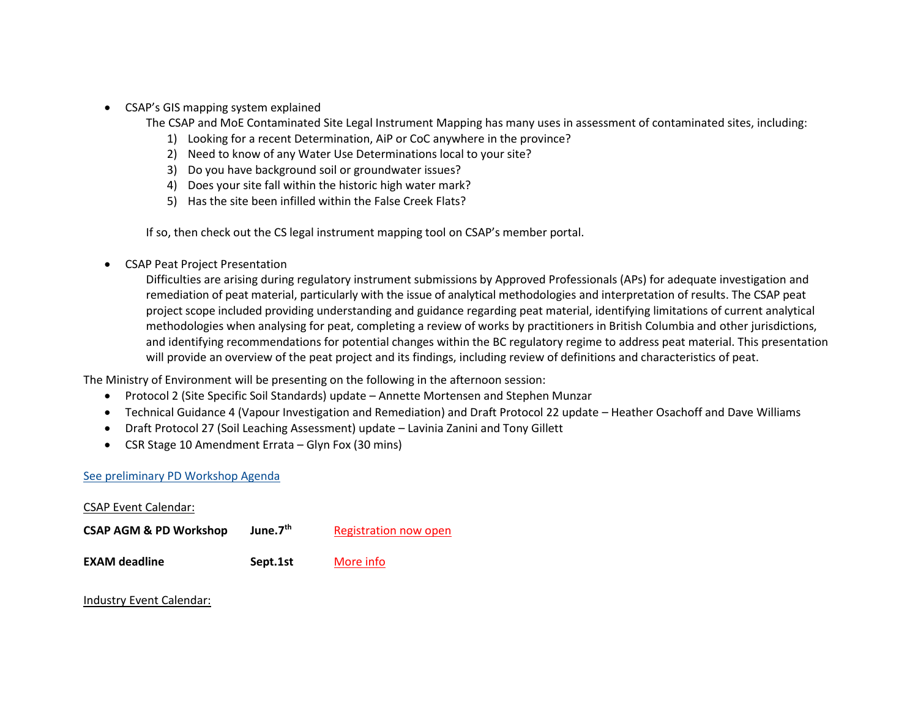• CSAP's GIS mapping system explained

The CSAP and MoE Contaminated Site Legal Instrument Mapping has many uses in assessment of contaminated sites, including:

- 1) Looking for a recent Determination, AiP or CoC anywhere in the province?
- 2) Need to know of any Water Use Determinations local to your site?
- 3) Do you have background soil or groundwater issues?
- 4) Does your site fall within the historic high water mark?
- 5) Has the site been infilled within the False Creek Flats?

If so, then check out the CS legal instrument mapping tool on CSAP's member portal.

CSAP Peat Project Presentation

Difficulties are arising during regulatory instrument submissions by Approved Professionals (APs) for adequate investigation and remediation of peat material, particularly with the issue of analytical methodologies and interpretation of results. The CSAP peat project scope included providing understanding and guidance regarding peat material, identifying limitations of current analytical methodologies when analysing for peat, completing a review of works by practitioners in British Columbia and other jurisdictions, and identifying recommendations for potential changes within the BC regulatory regime to address peat material. This presentation will provide an overview of the peat project and its findings, including review of definitions and characteristics of peat.

The Ministry of Environment will be presenting on the following in the afternoon session:

- Protocol 2 (Site Specific Soil Standards) update Annette Mortensen and Stephen Munzar
- Technical Guidance 4 (Vapour Investigation and Remediation) and Draft Protocol 22 update Heather Osachoff and Dave Williams
- Draft Protocol 27 (Soil Leaching Assessment) update Lavinia Zanini and Tony Gillett
- CSR Stage 10 Amendment Errata Glyn Fox (30 mins)

## See preliminary [PD Workshop Agenda](http://csapsociety.bc.ca/wp/wp-content/uploads/CSAP-2017-AGM_-Day-long-Preliminary-Agenda-v3-May-18-2017.pdf)

#### CSAP Event Calendar:

| <b>CSAP AGM &amp; PD Workshop</b> | June.7 <sup>th</sup> | Registration now open |
|-----------------------------------|----------------------|-----------------------|
|                                   |                      |                       |

**EXAM deadline Sept.1st** [More info](https://csapsociety.bc.ca/join/examinations/)

#### Industry Event Calendar: